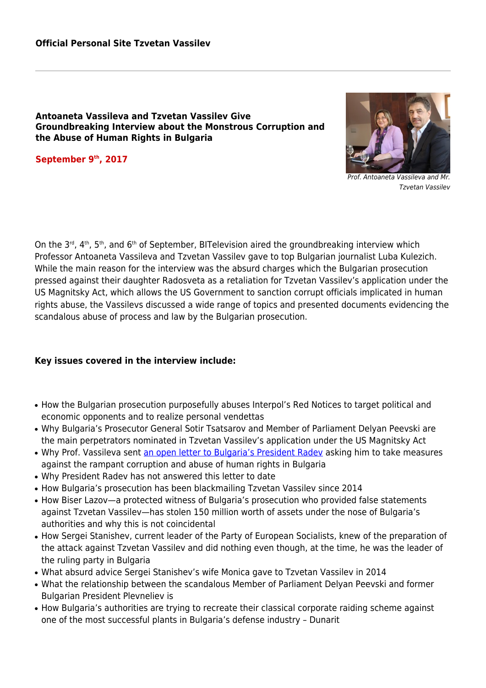## **Antoaneta Vassileva and Tzvetan Vassilev Give Groundbreaking Interview about the Monstrous Corruption and the Abuse of Human Rights in Bulgaria**

**September 9th, 2017**



Prof. Antoaneta Vassileva and Mr. Tzvetan Vassilev

On the  $3^{rd}$ ,  $4^{th}$ ,  $5^{th}$ , and  $6^{th}$  of September, BITelevision aired the groundbreaking interview which Professor Antoaneta Vassileva and Tzvetan Vassilev gave to top Bulgarian journalist Luba Kulezich. While the main reason for the interview was the absurd charges which the Bulgarian prosecution pressed against their daughter Radosveta as a retaliation for Tzvetan Vassilev's application under the US Magnitsky Act, which allows the US Government to sanction corrupt officials implicated in human rights abuse, the Vassilevs discussed a wide range of topics and presented documents evidencing the scandalous abuse of process and law by the Bulgarian prosecution.

## **Key issues covered in the interview include:**

- How the Bulgarian prosecution purposefully abuses Interpol's Red Notices to target political and economic opponents and to realize personal vendettas
- Why Bulgaria's Prosecutor General Sotir Tsatsarov and Member of Parliament Delyan Peevski are the main perpetrators nominated in Tzvetan Vassilev's application under the US Magnitsky Act
- Why Prof. Vassileva sent [an open letter to Bulgaria's President Radev](#page--1-0) asking him to take measures against the rampant corruption and abuse of human rights in Bulgaria
- Why President Radev has not answered this letter to date
- How Bulgaria's prosecution has been blackmailing Tzvetan Vassilev since 2014
- How Biser Lazov—a protected witness of Bulgaria's prosecution who provided false statements against Tzvetan Vassilev—has stolen 150 million worth of assets under the nose of Bulgaria's authorities and why this is not coincidental
- How Sergei Stanishev, current leader of the Party of European Socialists, knew of the preparation of the attack against Tzvetan Vassilev and did nothing even though, at the time, he was the leader of the ruling party in Bulgaria
- What absurd advice Sergei Stanishev's wife Monica gave to Tzvetan Vassilev in 2014
- What the relationship between the scandalous Member of Parliament Delyan Peevski and former Bulgarian President Plevneliev is
- How Bulgaria's authorities are trying to recreate their classical corporate raiding scheme against one of the most successful plants in Bulgaria's defense industry – Dunarit